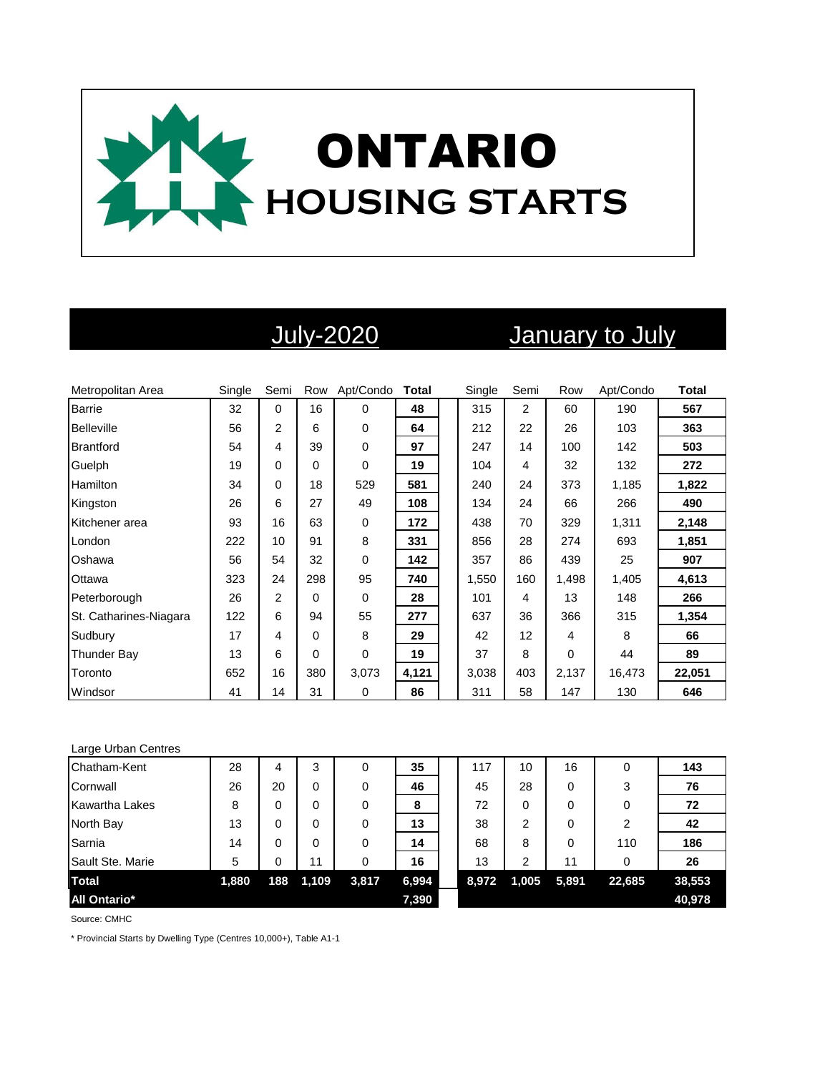

# July-2020 January to July

| Metropolitan Area      | Single | Semi           | Row | Apt/Condo   | <b>Total</b> | Single | Semi           | Row      | Apt/Condo | <b>Total</b> |
|------------------------|--------|----------------|-----|-------------|--------------|--------|----------------|----------|-----------|--------------|
| <b>Barrie</b>          | 32     | $\Omega$       | 16  | $\Omega$    | 48           | 315    | $\overline{2}$ | 60       | 190       | 567          |
| <b>Belleville</b>      | 56     | $\overline{2}$ | 6   | $\Omega$    | 64           | 212    | 22             | 26       | 103       | 363          |
| <b>Brantford</b>       | 54     | 4              | 39  | $\mathbf 0$ | 97           | 247    | 14             | 100      | 142       | 503          |
| Guelph                 | 19     | 0              | 0   | 0           | 19           | 104    | 4              | 32       | 132       | 272          |
| Hamilton               | 34     | 0              | 18  | 529         | 581          | 240    | 24             | 373      | 1,185     | 1,822        |
| Kingston               | 26     | 6              | 27  | 49          | 108          | 134    | 24             | 66       | 266       | 490          |
| Kitchener area         | 93     | 16             | 63  | $\mathbf 0$ | 172          | 438    | 70             | 329      | 1,311     | 2,148        |
| London                 | 222    | 10             | 91  | 8           | 331          | 856    | 28             | 274      | 693       | 1,851        |
| Oshawa                 | 56     | 54             | 32  | 0           | 142          | 357    | 86             | 439      | 25        | 907          |
| Ottawa                 | 323    | 24             | 298 | 95          | 740          | 1,550  | 160            | 1,498    | 1,405     | 4,613        |
| Peterborough           | 26     | $\overline{2}$ | 0   | $\Omega$    | 28           | 101    | 4              | 13       | 148       | 266          |
| St. Catharines-Niagara | 122    | 6              | 94  | 55          | 277          | 637    | 36             | 366      | 315       | 1,354        |
| Sudbury                | 17     | 4              | 0   | 8           | 29           | 42     | 12             | 4        | 8         | 66           |
| <b>Thunder Bay</b>     | 13     | 6              | 0   | 0           | 19           | 37     | 8              | $\Omega$ | 44        | 89           |
| Toronto                | 652    | 16             | 380 | 3,073       | 4,121        | 3,038  | 403            | 2,137    | 16,473    | 22,051       |
| Windsor                | 41     | 14             | 31  | 0           | 86           | 311    | 58             | 147      | 130       | 646          |

### Large Urban Centres

| Chatham-Kent          | 28    | 4   | 3     | 0        | 35    | 117   | 10    | 16    | 0              | 143    |
|-----------------------|-------|-----|-------|----------|-------|-------|-------|-------|----------------|--------|
| Cornwall              | 26    | 20  | 0     | 0        | 46    | 45    | 28    | 0     | 3              | 76     |
| <b>Kawartha Lakes</b> | 8     | 0   | 0     | 0        | 8     | 72    | 0     | 0     | 0              | 72     |
| North Bay             | 13    | 0   | 0     | 0        | 13    | 38    | 2     | 0     | $\overline{2}$ | 42     |
| Sarnia                | 14    | 0   | 0     | $\Omega$ | 14    | 68    | 8     | 0     | 110            | 186    |
| Sault Ste. Marie      | 5     | 0   | 11    |          | 16    | 13    | 2     | 11    | 0              | 26     |
| <b>Total</b>          | 1,880 | 188 | 1,109 | 3,817    | 6,994 | 8,972 | 1,005 | 5,891 | 22,685         | 38,553 |
| <b>All Ontario*</b>   |       |     |       |          | 7,390 |       |       |       |                | 40,978 |

Source: CMHC

\* Provincial Starts by Dwelling Type (Centres 10,000+), Table A1-1